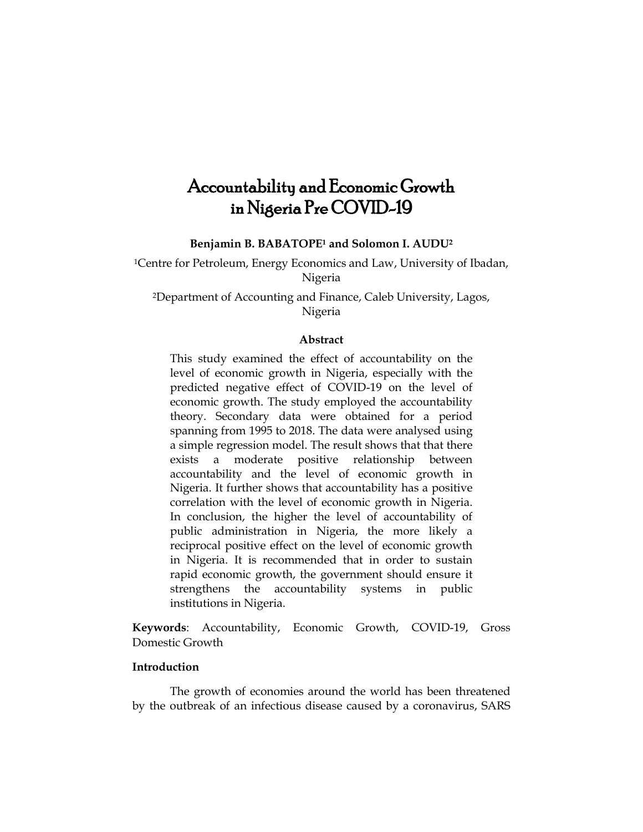# Accountability and Economic Growth in Nigeria Pre COVID-19

**Benjamin B. BABATOPE<sup>1</sup> and Solomon I. AUDU<sup>2</sup>**

<sup>1</sup>Centre for Petroleum, Energy Economics and Law, University of Ibadan, Nigeria

<sup>2</sup>Department of Accounting and Finance, Caleb University, Lagos, Nigeria

## **Abstract**

This study examined the effect of accountability on the level of economic growth in Nigeria, especially with the predicted negative effect of COVID-19 on the level of economic growth. The study employed the accountability theory. Secondary data were obtained for a period spanning from 1995 to 2018. The data were analysed using a simple regression model. The result shows that that there exists a moderate positive relationship between accountability and the level of economic growth in Nigeria. It further shows that accountability has a positive correlation with the level of economic growth in Nigeria. In conclusion, the higher the level of accountability of public administration in Nigeria, the more likely a reciprocal positive effect on the level of economic growth in Nigeria. It is recommended that in order to sustain rapid economic growth, the government should ensure it strengthens the accountability systems in public institutions in Nigeria.

**Keywords**: Accountability, Economic Growth, COVID-19, Gross Domestic Growth

# **Introduction**

The growth of economies around the world has been threatened by the outbreak of an infectious disease caused by a coronavirus, SARS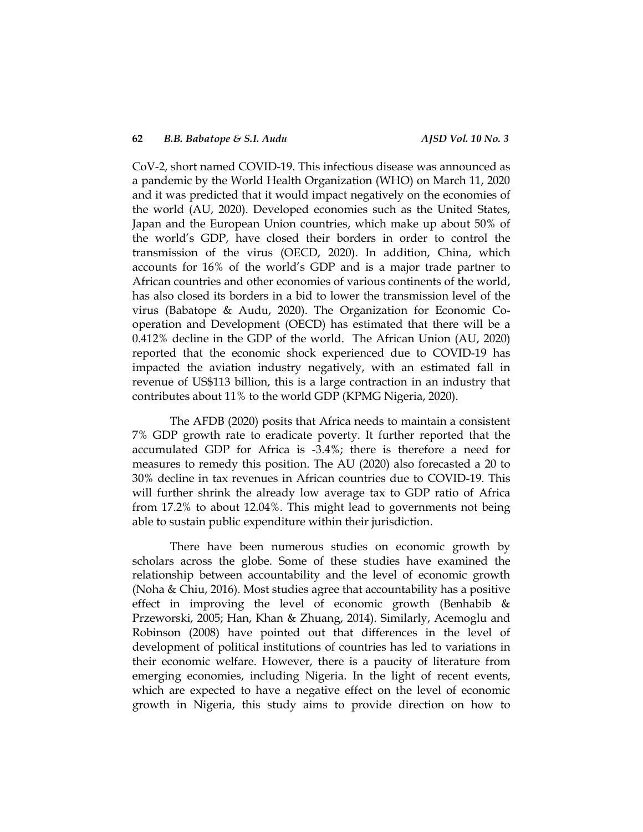CoV-2, short named COVID-19. This infectious disease was announced as a pandemic by the World Health Organization (WHO) on March 11, 2020 and it was predicted that it would impact negatively on the economies of the world (AU, 2020). Developed economies such as the United States, Japan and the European Union countries, which make up about 50% of the world's GDP, have closed their borders in order to control the transmission of the virus (OECD, 2020). In addition, China, which accounts for 16% of the world's GDP and is a major trade partner to African countries and other economies of various continents of the world, has also closed its borders in a bid to lower the transmission level of the virus (Babatope & Audu, 2020). The Organization for Economic Cooperation and Development (OECD) has estimated that there will be a 0.412% decline in the GDP of the world. The African Union (AU, 2020) reported that the economic shock experienced due to COVID-19 has impacted the aviation industry negatively, with an estimated fall in revenue of US\$113 billion, this is a large contraction in an industry that contributes about 11% to the world GDP (KPMG Nigeria, 2020).

The AFDB (2020) posits that Africa needs to maintain a consistent 7% GDP growth rate to eradicate poverty. It further reported that the accumulated GDP for Africa is -3.4%; there is therefore a need for measures to remedy this position. The AU (2020) also forecasted a 20 to 30% decline in tax revenues in African countries due to COVID-19. This will further shrink the already low average tax to GDP ratio of Africa from 17.2% to about 12.04%. This might lead to governments not being able to sustain public expenditure within their jurisdiction.

There have been numerous studies on economic growth by scholars across the globe. Some of these studies have examined the relationship between accountability and the level of economic growth (Noha & Chiu, 2016). Most studies agree that accountability has a positive effect in improving the level of economic growth (Benhabib  $\&$ Przeworski, 2005; Han, Khan & Zhuang, 2014). Similarly, Acemoglu and Robinson (2008) have pointed out that differences in the level of development of political institutions of countries has led to variations in their economic welfare. However, there is a paucity of literature from emerging economies, including Nigeria. In the light of recent events, which are expected to have a negative effect on the level of economic growth in Nigeria, this study aims to provide direction on how to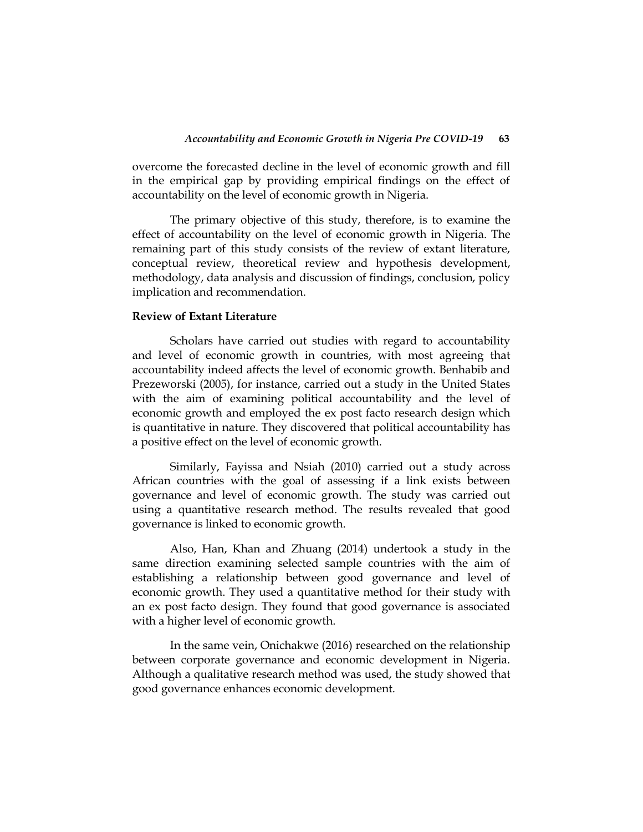overcome the forecasted decline in the level of economic growth and fill in the empirical gap by providing empirical findings on the effect of accountability on the level of economic growth in Nigeria.

The primary objective of this study, therefore, is to examine the effect of accountability on the level of economic growth in Nigeria. The remaining part of this study consists of the review of extant literature, conceptual review, theoretical review and hypothesis development, methodology, data analysis and discussion of findings, conclusion, policy implication and recommendation.

#### **Review of Extant Literature**

Scholars have carried out studies with regard to accountability and level of economic growth in countries, with most agreeing that accountability indeed affects the level of economic growth. Benhabib and Prezeworski (2005), for instance, carried out a study in the United States with the aim of examining political accountability and the level of economic growth and employed the ex post facto research design which is quantitative in nature. They discovered that political accountability has a positive effect on the level of economic growth.

Similarly, Fayissa and Nsiah (2010) carried out a study across African countries with the goal of assessing if a link exists between governance and level of economic growth. The study was carried out using a quantitative research method. The results revealed that good governance is linked to economic growth.

Also, Han, Khan and Zhuang (2014) undertook a study in the same direction examining selected sample countries with the aim of establishing a relationship between good governance and level of economic growth. They used a quantitative method for their study with an ex post facto design. They found that good governance is associated with a higher level of economic growth.

In the same vein, Onichakwe (2016) researched on the relationship between corporate governance and economic development in Nigeria. Although a qualitative research method was used, the study showed that good governance enhances economic development.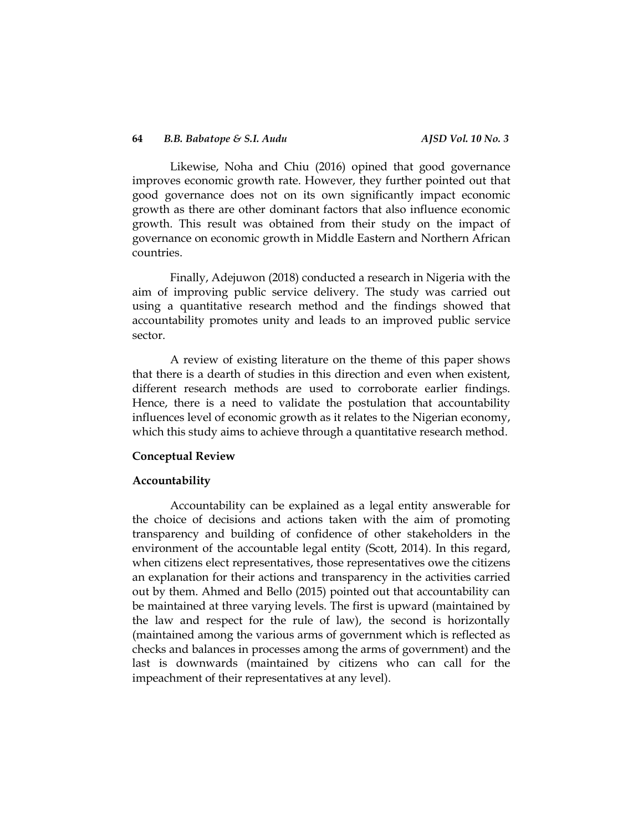#### **64** *B.B. Babatope & S.I. Audu AJSD Vol. 10 No. 3*

Likewise, Noha and Chiu (2016) opined that good governance improves economic growth rate. However, they further pointed out that good governance does not on its own significantly impact economic growth as there are other dominant factors that also influence economic growth. This result was obtained from their study on the impact of governance on economic growth in Middle Eastern and Northern African countries.

Finally, Adejuwon (2018) conducted a research in Nigeria with the aim of improving public service delivery. The study was carried out using a quantitative research method and the findings showed that accountability promotes unity and leads to an improved public service sector.

A review of existing literature on the theme of this paper shows that there is a dearth of studies in this direction and even when existent, different research methods are used to corroborate earlier findings. Hence, there is a need to validate the postulation that accountability influences level of economic growth as it relates to the Nigerian economy, which this study aims to achieve through a quantitative research method.

### **Conceptual Review**

#### **Accountability**

Accountability can be explained as a legal entity answerable for the choice of decisions and actions taken with the aim of promoting transparency and building of confidence of other stakeholders in the environment of the accountable legal entity (Scott, 2014). In this regard, when citizens elect representatives, those representatives owe the citizens an explanation for their actions and transparency in the activities carried out by them. Ahmed and Bello (2015) pointed out that accountability can be maintained at three varying levels. The first is upward (maintained by the law and respect for the rule of law), the second is horizontally (maintained among the various arms of government which is reflected as checks and balances in processes among the arms of government) and the last is downwards (maintained by citizens who can call for the impeachment of their representatives at any level).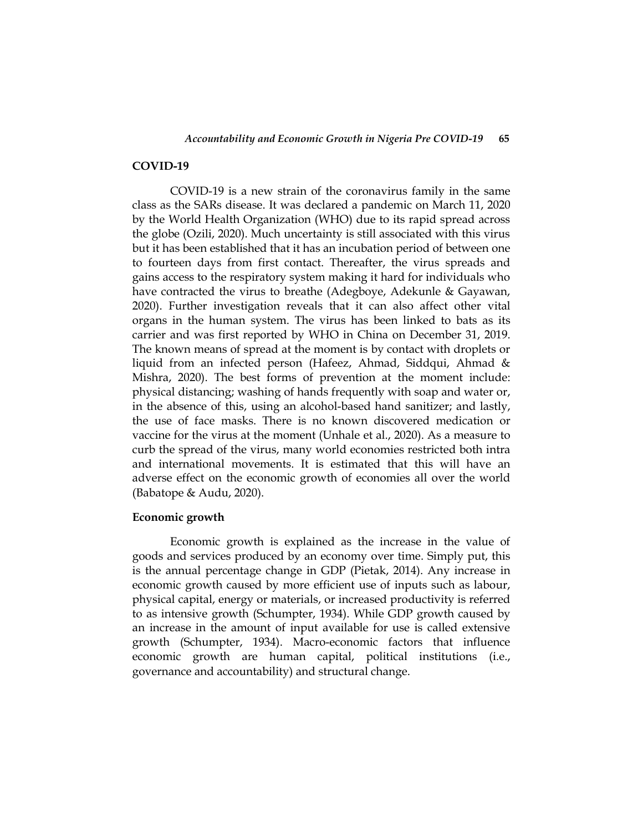#### **COVID-19**

COVID-19 is a new strain of the coronavirus family in the same class as the SARs disease. It was declared a pandemic on March 11, 2020 by the World Health Organization (WHO) due to its rapid spread across the globe (Ozili, 2020). Much uncertainty is still associated with this virus but it has been established that it has an incubation period of between one to fourteen days from first contact. Thereafter, the virus spreads and gains access to the respiratory system making it hard for individuals who have contracted the virus to breathe (Adegboye, Adekunle & Gayawan, 2020). Further investigation reveals that it can also affect other vital organs in the human system. The virus has been linked to bats as its carrier and was first reported by WHO in China on December 31, 2019. The known means of spread at the moment is by contact with droplets or liquid from an infected person (Hafeez, Ahmad, Siddqui, Ahmad & Mishra, 2020). The best forms of prevention at the moment include: physical distancing; washing of hands frequently with soap and water or, in the absence of this, using an alcohol-based hand sanitizer; and lastly, the use of face masks. There is no known discovered medication or vaccine for the virus at the moment (Unhale et al., 2020). As a measure to curb the spread of the virus, many world economies restricted both intra and international movements. It is estimated that this will have an adverse effect on the economic growth of economies all over the world (Babatope & Audu, 2020).

# **Economic growth**

Economic growth is explained as the increase in the value of goods and services produced by an economy over time. Simply put, this is the annual percentage change in GDP (Pietak, 2014). Any increase in economic growth caused by more efficient use of inputs such as labour, physical capital, energy or materials, or increased productivity is referred to as intensive growth (Schumpter, 1934). While GDP growth caused by an increase in the amount of input available for use is called extensive growth (Schumpter, 1934). Macro-economic factors that influence economic growth are human capital, political institutions (i.e., governance and accountability) and structural change.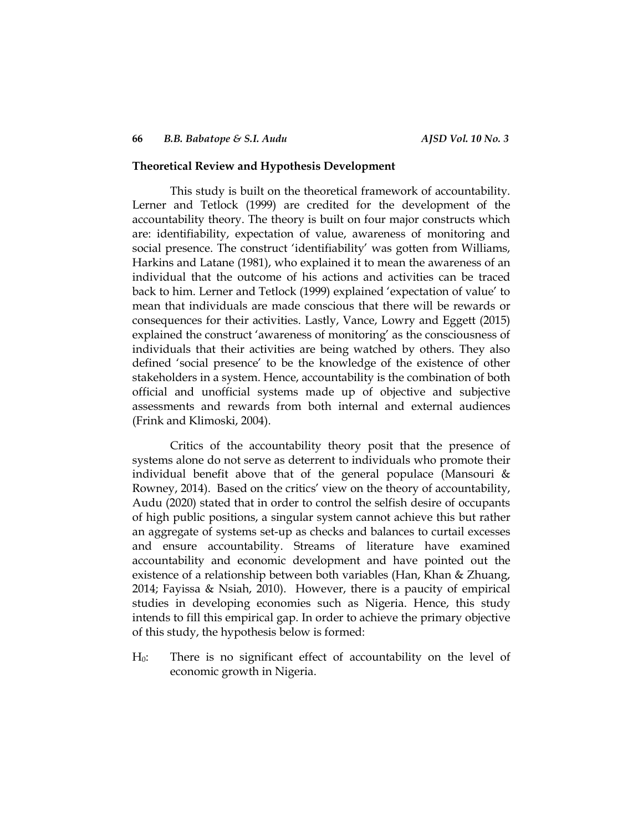#### **Theoretical Review and Hypothesis Development**

This study is built on the theoretical framework of accountability. Lerner and Tetlock (1999) are credited for the development of the accountability theory. The theory is built on four major constructs which are: identifiability, expectation of value, awareness of monitoring and social presence. The construct 'identifiability' was gotten from Williams, Harkins and Latane (1981), who explained it to mean the awareness of an individual that the outcome of his actions and activities can be traced back to him. Lerner and Tetlock (1999) explained 'expectation of value' to mean that individuals are made conscious that there will be rewards or consequences for their activities. Lastly, Vance, Lowry and Eggett (2015) explained the construct 'awareness of monitoring' as the consciousness of individuals that their activities are being watched by others. They also defined 'social presence' to be the knowledge of the existence of other stakeholders in a system. Hence, accountability is the combination of both official and unofficial systems made up of objective and subjective assessments and rewards from both internal and external audiences (Frink and Klimoski, 2004).

Critics of the accountability theory posit that the presence of systems alone do not serve as deterrent to individuals who promote their individual benefit above that of the general populace (Mansouri & Rowney, 2014). Based on the critics' view on the theory of accountability, Audu (2020) stated that in order to control the selfish desire of occupants of high public positions, a singular system cannot achieve this but rather an aggregate of systems set-up as checks and balances to curtail excesses and ensure accountability. Streams of literature have examined accountability and economic development and have pointed out the existence of a relationship between both variables (Han, Khan & Zhuang, 2014; Fayissa & Nsiah, 2010). However, there is a paucity of empirical studies in developing economies such as Nigeria. Hence, this study intends to fill this empirical gap. In order to achieve the primary objective of this study, the hypothesis below is formed:

H0: There is no significant effect of accountability on the level of economic growth in Nigeria.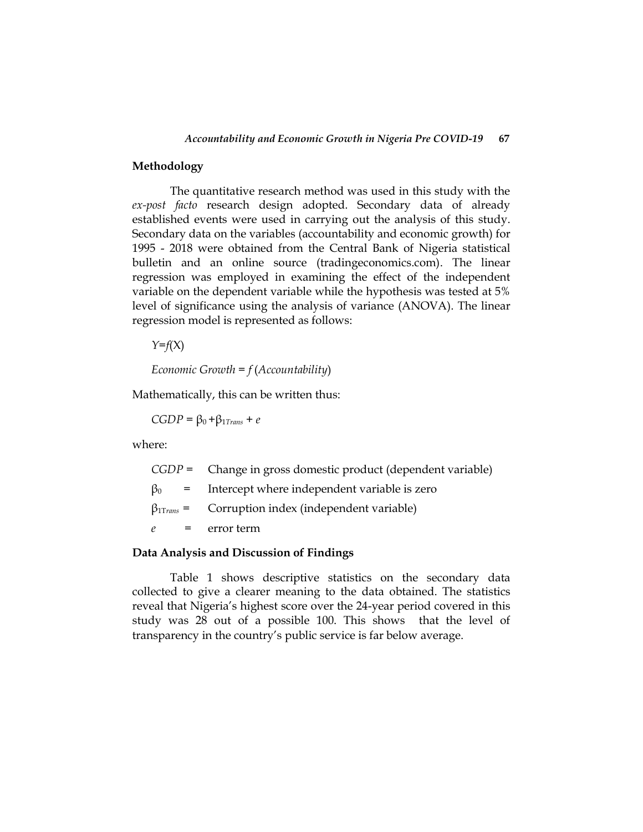## **Methodology**

The quantitative research method was used in this study with the *ex-post facto* research design adopted. Secondary data of already established events were used in carrying out the analysis of this study. Secondary data on the variables (accountability and economic growth) for 1995 - 2018 were obtained from the Central Bank of Nigeria statistical bulletin and an online source (tradingeconomics.com). The linear regression was employed in examining the effect of the independent variable on the dependent variable while the hypothesis was tested at 5% level of significance using the analysis of variance (ANOVA). The linear regression model is represented as follows:

*Y*=*f*(X)

*Economic Growth = f* (*Accountability*)

Mathematically, this can be written thus:

 $CGDP = \beta_0 + \beta_{1Trans} + e$ 

where:

| $CGDP =$ Change in gross domestic product (dependent variable) |
|----------------------------------------------------------------|
| $\beta_0$ = Intercept where independent variable is zero       |
| $\beta_{1Trans}$ = Corruption index (independent variable)     |
| $e =$ error term                                               |
|                                                                |

# **Data Analysis and Discussion of Findings**

Table 1 shows descriptive statistics on the secondary data collected to give a clearer meaning to the data obtained. The statistics reveal that Nigeria's highest score over the 24-year period covered in this study was 28 out of a possible 100. This shows that the level of transparency in the country's public service is far below average.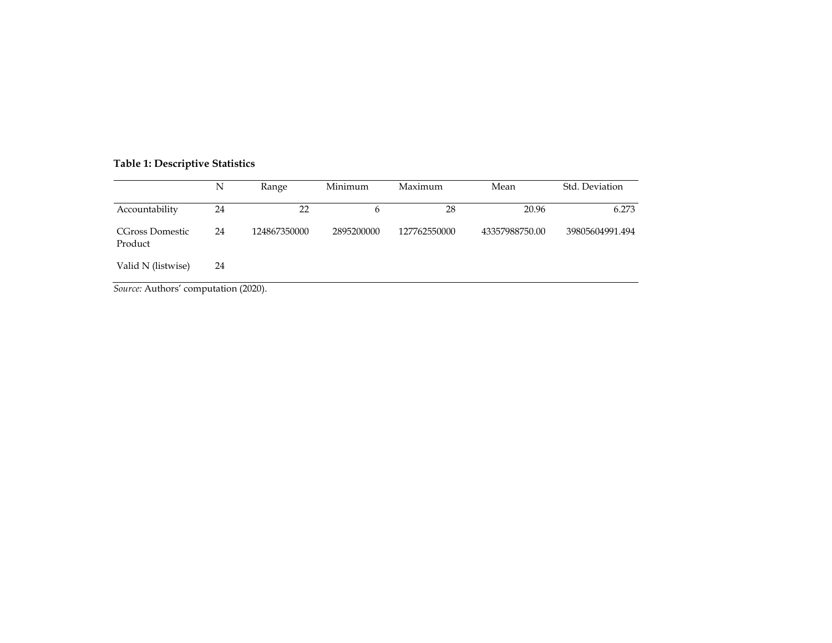# **Table 1: Descriptive Statistics**

|                            | N  | Range        | Minimum    | Maximum      | Mean           | Std. Deviation  |
|----------------------------|----|--------------|------------|--------------|----------------|-----------------|
| Accountability             | 24 | 22           | b          | 28           | 20.96          | 6.273           |
| CGross Domestic<br>Product | 24 | 124867350000 | 2895200000 | 127762550000 | 43357988750.00 | 39805604991.494 |
| Valid N (listwise)         | 24 |              |            |              |                |                 |

*Source:* Authors' computation (2020).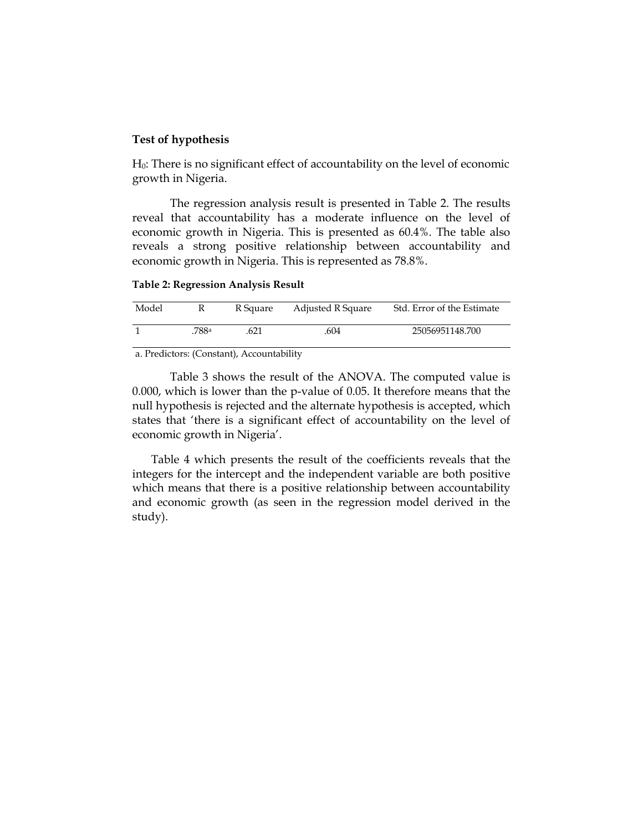#### **Test of hypothesis**

H0: There is no significant effect of accountability on the level of economic growth in Nigeria.

The regression analysis result is presented in Table 2. The results reveal that accountability has a moderate influence on the level of economic growth in Nigeria. This is presented as 60.4%. The table also reveals a strong positive relationship between accountability and economic growth in Nigeria. This is represented as 78.8%.

**Table 2: Regression Analysis Result**

| Model |      | R Square | Adjusted R Square | Std. Error of the Estimate |
|-------|------|----------|-------------------|----------------------------|
|       | 788a | .621     | .604              | 25056951148.700            |
| __    |      |          | - - - -           |                            |

a. Predictors: (Constant), Accountability

Table 3 shows the result of the ANOVA. The computed value is 0.000, which is lower than the p-value of 0.05. It therefore means that the null hypothesis is rejected and the alternate hypothesis is accepted, which states that 'there is a significant effect of accountability on the level of economic growth in Nigeria'.

Table 4 which presents the result of the coefficients reveals that the integers for the intercept and the independent variable are both positive which means that there is a positive relationship between accountability and economic growth (as seen in the regression model derived in the study).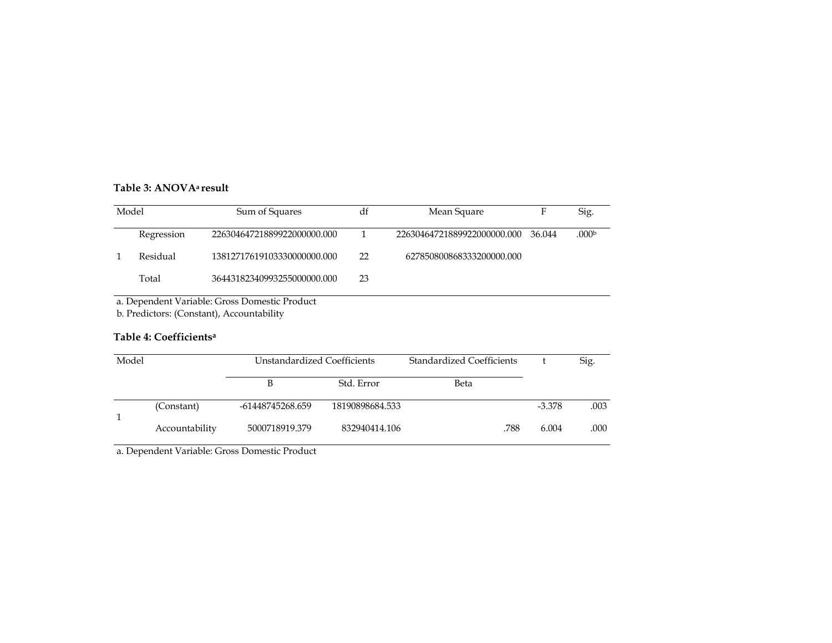# **Table 3: ANOVA<sup>a</sup> result**

| Model |                                               | Sum of Squares              | df | Mean Square                 | F      | Sig.              |  |
|-------|-----------------------------------------------|-----------------------------|----|-----------------------------|--------|-------------------|--|
|       | Regression                                    | 22630464721889922000000.000 |    | 22630464721889922000000.000 | 36.044 | .000 <sub>b</sub> |  |
|       | Residual                                      | 13812717619103330000000.000 | 22 | 627850800868333200000.000   |        |                   |  |
|       | Total                                         | 36443182340993255000000.000 | 23 |                             |        |                   |  |
|       | a. Dependent Variable: Gross Domestic Product |                             |    |                             |        |                   |  |

b. Predictors: (Constant), Accountability

# **Table 4: Coefficients<sup>a</sup>**

| Model |                | Unstandardized Coefficients |                 | <b>Standardized Coefficients</b> |          | Sig. |
|-------|----------------|-----------------------------|-----------------|----------------------------------|----------|------|
|       |                |                             | Std. Error      | Beta                             |          |      |
|       | (Constant)     | -61448745268.659            | 18190898684.533 |                                  | $-3.378$ | .003 |
|       | Accountability | 5000718919.379              | 832940414.106   | .788                             | 6.004    | .000 |

a. Dependent Variable: Gross Domestic Product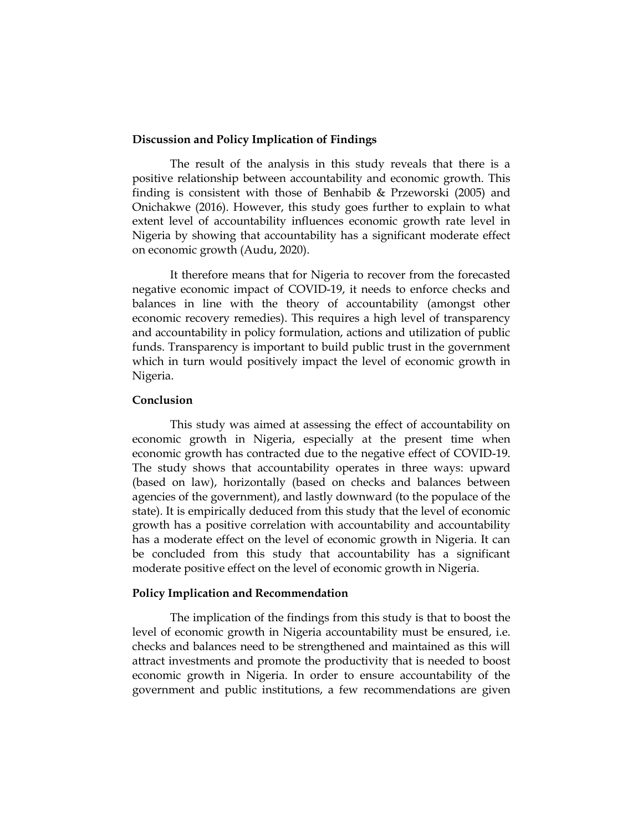#### **Discussion and Policy Implication of Findings**

The result of the analysis in this study reveals that there is a positive relationship between accountability and economic growth. This finding is consistent with those of Benhabib & Przeworski (2005) and Onichakwe (2016). However, this study goes further to explain to what extent level of accountability influences economic growth rate level in Nigeria by showing that accountability has a significant moderate effect on economic growth (Audu, 2020).

It therefore means that for Nigeria to recover from the forecasted negative economic impact of COVID-19, it needs to enforce checks and balances in line with the theory of accountability (amongst other economic recovery remedies). This requires a high level of transparency and accountability in policy formulation, actions and utilization of public funds. Transparency is important to build public trust in the government which in turn would positively impact the level of economic growth in Nigeria.

# **Conclusion**

This study was aimed at assessing the effect of accountability on economic growth in Nigeria, especially at the present time when economic growth has contracted due to the negative effect of COVID-19. The study shows that accountability operates in three ways: upward (based on law), horizontally (based on checks and balances between agencies of the government), and lastly downward (to the populace of the state). It is empirically deduced from this study that the level of economic growth has a positive correlation with accountability and accountability has a moderate effect on the level of economic growth in Nigeria. It can be concluded from this study that accountability has a significant moderate positive effect on the level of economic growth in Nigeria.

## **Policy Implication and Recommendation**

The implication of the findings from this study is that to boost the level of economic growth in Nigeria accountability must be ensured, i.e. checks and balances need to be strengthened and maintained as this will attract investments and promote the productivity that is needed to boost economic growth in Nigeria. In order to ensure accountability of the government and public institutions, a few recommendations are given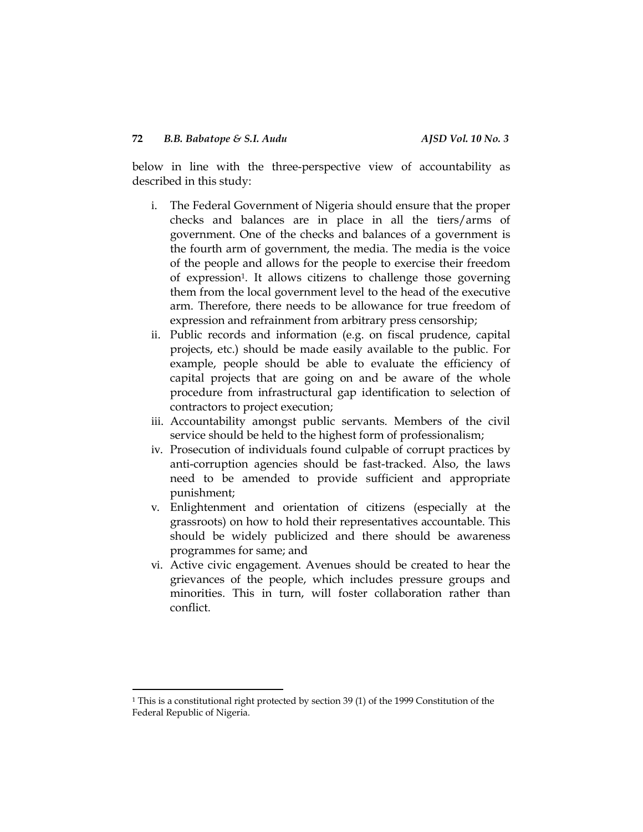below in line with the three-perspective view of accountability as described in this study:

- i. The Federal Government of Nigeria should ensure that the proper checks and balances are in place in all the tiers/arms of government. One of the checks and balances of a government is the fourth arm of government, the media. The media is the voice of the people and allows for the people to exercise their freedom of expression1. It allows citizens to challenge those governing them from the local government level to the head of the executive arm. Therefore, there needs to be allowance for true freedom of expression and refrainment from arbitrary press censorship;
- ii. Public records and information (e.g. on fiscal prudence, capital projects, etc.) should be made easily available to the public. For example, people should be able to evaluate the efficiency of capital projects that are going on and be aware of the whole procedure from infrastructural gap identification to selection of contractors to project execution;
- iii. Accountability amongst public servants. Members of the civil service should be held to the highest form of professionalism;
- iv. Prosecution of individuals found culpable of corrupt practices by anti-corruption agencies should be fast-tracked. Also, the laws need to be amended to provide sufficient and appropriate punishment;
- v. Enlightenment and orientation of citizens (especially at the grassroots) on how to hold their representatives accountable. This should be widely publicized and there should be awareness programmes for same; and
- vi. Active civic engagement. Avenues should be created to hear the grievances of the people, which includes pressure groups and minorities. This in turn, will foster collaboration rather than conflict.

 $\overline{\phantom{a}}$ 

<sup>1</sup> This is a constitutional right protected by section 39 (1) of the 1999 Constitution of the Federal Republic of Nigeria.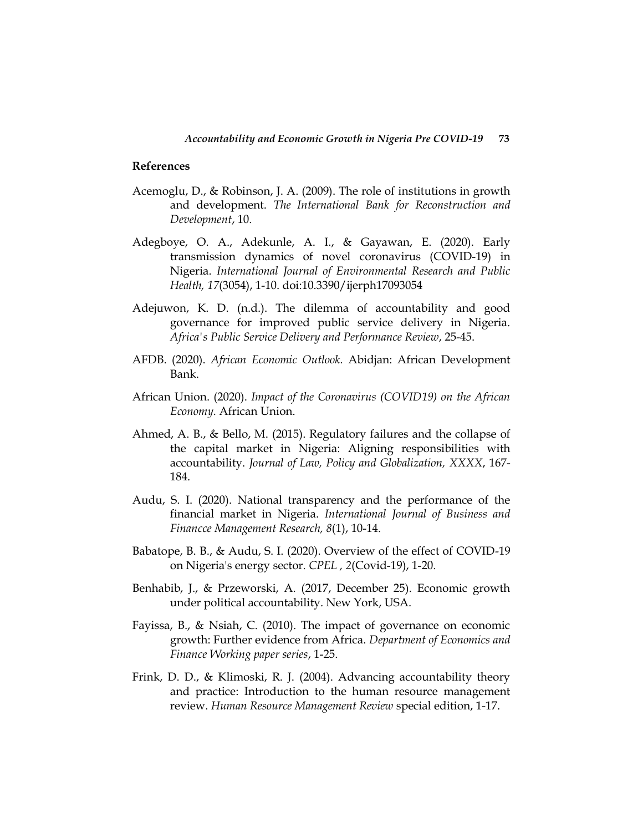## **References**

- Acemoglu, D., & Robinson, J. A. (2009). The role of institutions in growth and development. *The International Bank for Reconstruction and Development*, 10.
- Adegboye, O. A., Adekunle, A. I., & Gayawan, E. (2020). Early transmission dynamics of novel coronavirus (COVID-19) in Nigeria. *International Journal of Environmental Research and Public Health, 17*(3054), 1-10. doi:10.3390/ijerph17093054
- Adejuwon, K. D. (n.d.). The dilemma of accountability and good governance for improved public service delivery in Nigeria. *Africa's Public Service Delivery and Performance Review*, 25-45.
- AFDB. (2020). *African Economic Outlook.* Abidjan: African Development Bank.
- African Union. (2020). *Impact of the Coronavirus (COVID19) on the African Economy.* African Union.
- Ahmed, A. B., & Bello, M. (2015). Regulatory failures and the collapse of the capital market in Nigeria: Aligning responsibilities with accountability. *Journal of Law, Policy and Globalization, XXXX*, 167- 184.
- Audu, S. I. (2020). National transparency and the performance of the financial market in Nigeria. *International Journal of Business and Financce Management Research, 8*(1), 10-14.
- Babatope, B. B., & Audu, S. I. (2020). Overview of the effect of COVID-19 on Nigeria's energy sector. *CPEL , 2*(Covid-19), 1-20.
- Benhabib, J., & Przeworski, A. (2017, December 25). Economic growth under political accountability. New York, USA.
- Fayissa, B., & Nsiah, C. (2010). The impact of governance on economic growth: Further evidence from Africa. *Department of Economics and Finance Working paper series*, 1-25.
- Frink, D. D., & Klimoski, R. J. (2004). Advancing accountability theory and practice: Introduction to the human resource management review. *Human Resource Management Review* special edition, 1-17.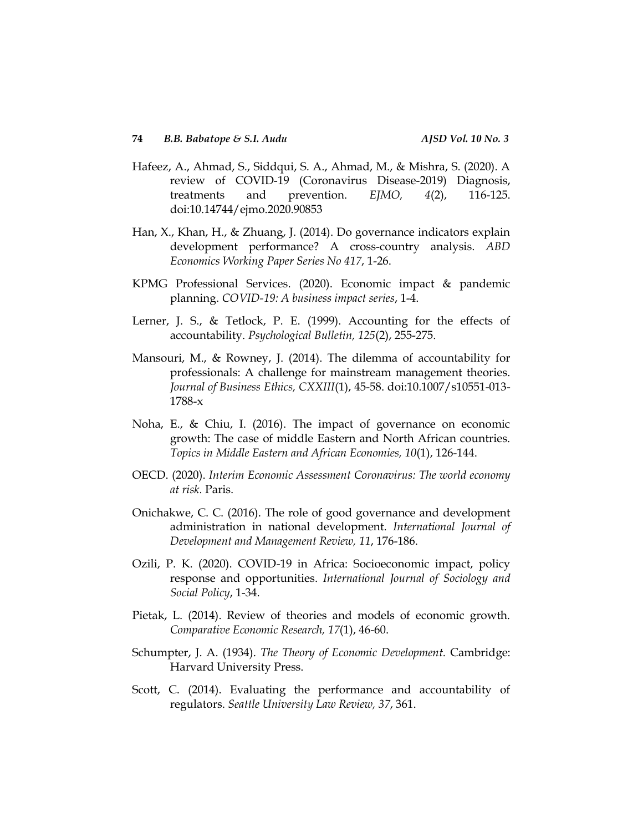- Hafeez, A., Ahmad, S., Siddqui, S. A., Ahmad, M., & Mishra, S. (2020). A review of COVID-19 (Coronavirus Disease-2019) Diagnosis, treatments and prevention. *EJMO, 4*(2), 116-125. doi:10.14744/ejmo.2020.90853
- Han, X., Khan, H., & Zhuang, J. (2014). Do governance indicators explain development performance? A cross-country analysis. *ABD Economics Working Paper Series No 417*, 1-26.
- KPMG Professional Services. (2020). Economic impact & pandemic planning. *COVID-19: A business impact series*, 1-4.
- Lerner, J. S., & Tetlock, P. E. (1999). Accounting for the effects of accountability. *Psychological Bulletin, 125*(2), 255-275.
- Mansouri, M., & Rowney, J. (2014). The dilemma of accountability for professionals: A challenge for mainstream management theories. *Journal of Business Ethics, CXXIII*(1), 45-58. doi:10.1007/s10551-013- 1788-x
- Noha, E., & Chiu, I. (2016). The impact of governance on economic growth: The case of middle Eastern and North African countries. *Topics in Middle Eastern and African Economies, 10*(1), 126-144.
- OECD. (2020). *Interim Economic Assessment Coronavirus: The world economy at risk.* Paris.
- Onichakwe, C. C. (2016). The role of good governance and development administration in national development. *International Journal of Development and Management Review, 11*, 176-186.
- Ozili, P. K. (2020). COVID-19 in Africa: Socioeconomic impact, policy response and opportunities. *International Journal of Sociology and Social Policy*, 1-34.
- Pietak, L. (2014). Review of theories and models of economic growth. *Comparative Economic Research, 17*(1), 46-60.
- Schumpter, J. A. (1934). *The Theory of Economic Development.* Cambridge: Harvard University Press.
- Scott, C. (2014). Evaluating the performance and accountability of regulators. *Seattle University Law Review, 37*, 361.